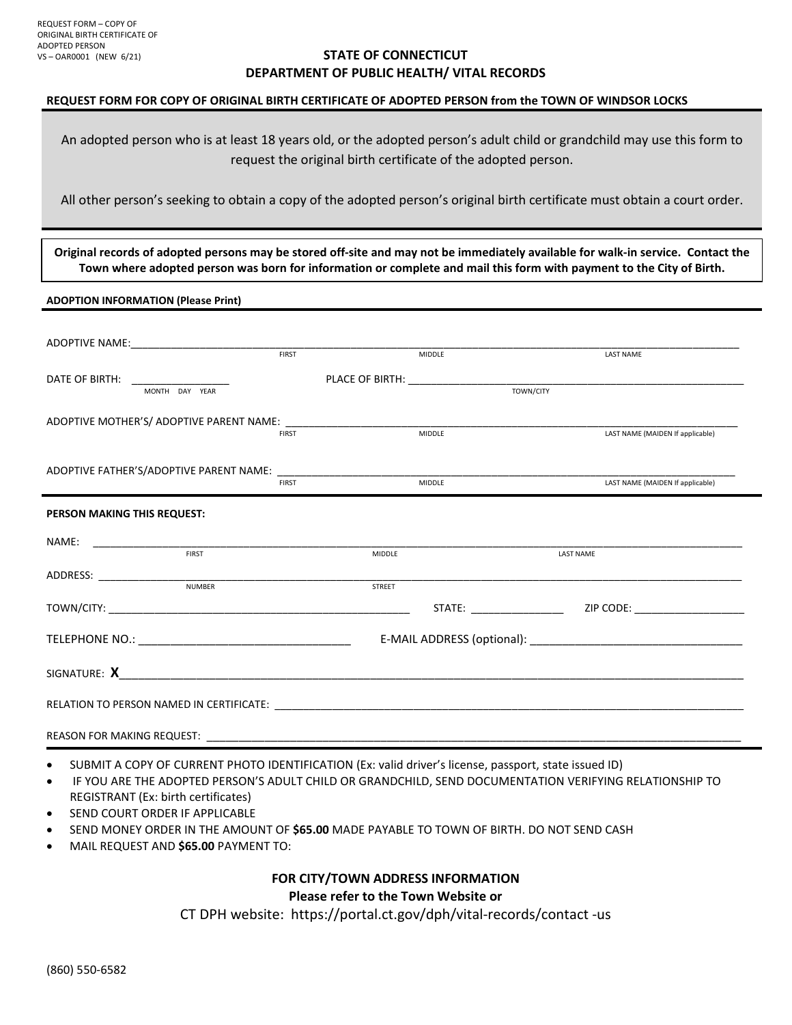### **STATE OF CONNECTICUT DEPARTMENT OF PUBLIC HEALTH/ VITAL RECORDS**

#### **REQUEST FORM FOR COPY OF ORIGINAL BIRTH CERTIFICATE OF ADOPTED PERSON from the TOWN OF WINDSOR LOCKS**

An adopted person who is at least 18 years old, or the adopted person's adult child or grandchild may use this form to request the original birth certificate of the adopted person.

All other person's seeking to obtain a copy of the adopted person's original birth certificate must obtain a court order.

**Original records of adopted persons may be stored off-site and may not be immediately available for walk-in service. Contact the Town where adopted person was born for information or complete and mail this form with payment to the City of Birth.** 

**ADOPTION INFORMATION (Please Print)**

|                                                     | FIRST         | MIDDLE        | <b>LAST NAME</b>                 |
|-----------------------------------------------------|---------------|---------------|----------------------------------|
| DATE OF BIRTH: __________________<br>MONTH DAY YEAR |               |               |                                  |
|                                                     | <b>FIRST</b>  | MIDDLE        | LAST NAME (MAIDEN If applicable) |
|                                                     |               |               |                                  |
|                                                     | <b>FIRST</b>  | <b>MIDDLE</b> | LAST NAME (MAIDEN If applicable) |
| PERSON MAKING THIS REQUEST:                         |               |               |                                  |
| NAME:<br><b>FIRST</b>                               | MIDDLE        |               | <b>LAST NAME</b>                 |
| <b>NUMBER</b>                                       | <b>STREET</b> |               |                                  |
|                                                     |               |               |                                  |
|                                                     |               |               |                                  |
|                                                     |               |               |                                  |
|                                                     |               |               |                                  |
|                                                     |               |               |                                  |

- SUBMIT A COPY OF CURRENT PHOTO IDENTIFICATION (Ex: valid driver's license, passport, state issued ID)
- IF YOU ARE THE ADOPTED PERSON'S ADULT CHILD OR GRANDCHILD, SEND DOCUMENTATION VERIFYING RELATIONSHIP TO REGISTRANT (Ex: birth certificates)
- SEND COURT ORDER IF APPLICABLE
- SEND MONEY ORDER IN THE AMOUNT OF **\$65.00** MADE PAYABLE TO TOWN OF BIRTH. DO NOT SEND CASH
- MAIL REQUEST AND **\$65.00** PAYMENT TO:

### **FOR CITY/TOWN ADDRESS INFORMATION Please refer to the Town Website or**

CT DPH website: https://portal.ct.gov/dph/vital-records/contact -us